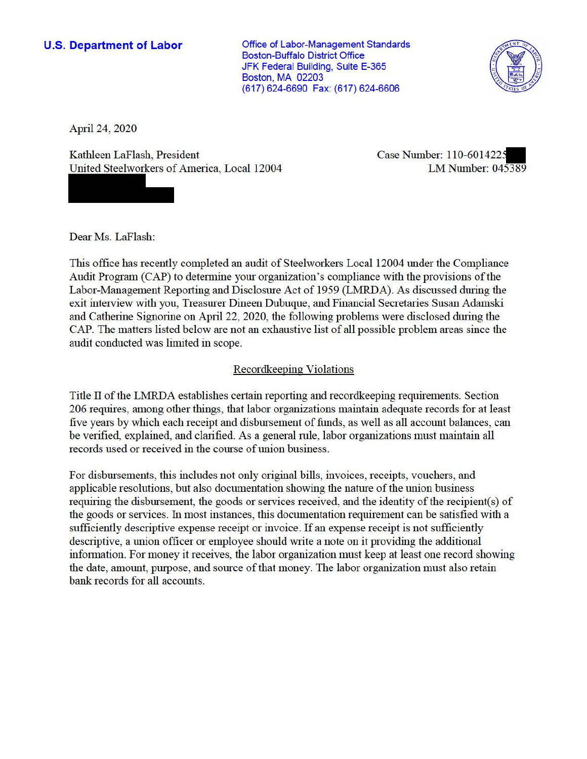**U.S. Department of Labor Conservative Conservative Conservative Conservative Conservative Conservative Conservative Conservative Conservative Conservative Conservative Conservative Conservative Conservative Conservative** Boston-Buffalo District Office JFK Federal Building, Suite E-365 Boston, MA 02203 (617) 624-6690 Fax: (617) 624-6606



April 24, 2020

Kathleen LaFlash, President United Steelworkers of America, Local 12004 Case Number: 110-601422. LM Number: 045389

Dear Ms. LaFlash:

This office has recently completed an audit of Steelworkers Local 12004 under the Compliance Audit Program (CAP) to determine your organization's compliance with the provisions of the Labor-Management Reporting and Disclosure Act of 1959 (LMRDA). As discussed during the exit interview with you, Treasurer Dineen Dubuque, and Financial Secretaries Susan Adamski and Catherine Signorine on April 22, 2020, the following problems were disclosed during the CAP. The matters listed below are not an exhaustive list of all possible problem areas since the audit conducted was limited in scope.

## Recordkeeping Violations

Title II of the LMRDA establishes certain reporting and recordkeeping requirements. Section 206 requires, among other things, that labor organizations maintain adequate records for at least five years by which each receipt and disbursement of funds, as well as all account balances, can be verified, explained, and clarified. As a general rule, labor organizations must maintain all records used or received in the course of union business.

For disbursements, this includes not only original bills, invoices, receipts, vouchers, and applicable resolutions, but also documentation showing the nature of the union business requiring the disbursement, the goods or services received, and the identity of the recipient(s) of the goods or services. In most instances, this documentation requirement can be satisfied with a sufficiently descriptive expense receipt or invoice. If an expense receipt is not sufficiently descriptive, a union officer or employee should write a note on it providing the additional information. For money it receives, the labor organization must keep at least one record showing the date, amount, purpose, and source of that money. The labor organization must also retain bank records for all accounts.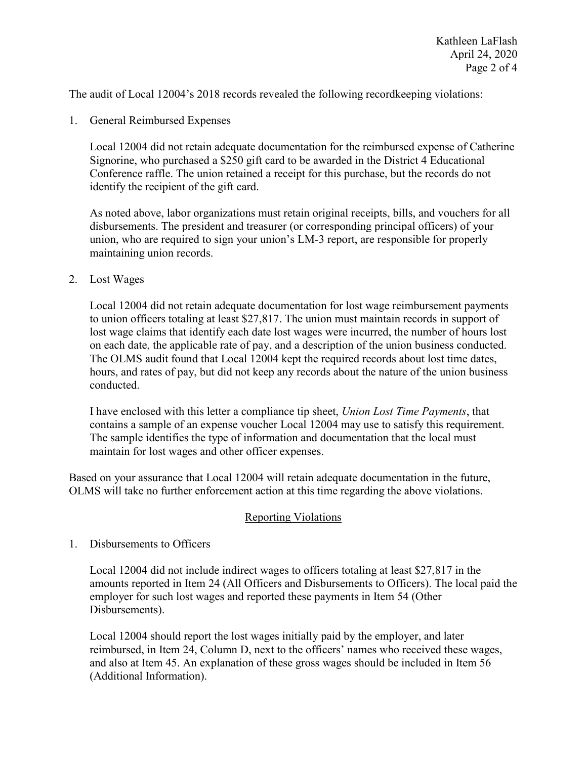The audit of Local 12004's 2018 records revealed the following recordkeeping violations:

1. General Reimbursed Expenses

 identify the recipient of the gift card. Local 12004 did not retain adequate documentation for the reimbursed expense of Catherine Signorine, who purchased a \$250 gift card to be awarded in the District 4 Educational Conference raffle. The union retained a receipt for this purchase, but the records do not

 disbursements. The president and treasurer (or corresponding principal officers) of your As noted above, labor organizations must retain original receipts, bills, and vouchers for all union, who are required to sign your union's LM-3 report, are responsible for properly maintaining union records.

2. Lost Wages

 Local 12004 did not retain adequate documentation for lost wage reimbursement payments to union officers totaling at least \$27,817. The union must maintain records in support of lost wage claims that identify each date lost wages were incurred, the number of hours lost on each date, the applicable rate of pay, and a description of the union business conducted. The OLMS audit found that Local 12004 kept the required records about lost time dates, hours, and rates of pay, but did not keep any records about the nature of the union business conducted.

 contains a sample of an expense voucher Local 12004 may use to satisfy this requirement. I have enclosed with this letter a compliance tip sheet, *Union Lost Time Payments*, that The sample identifies the type of information and documentation that the local must maintain for lost wages and other officer expenses.

Based on your assurance that Local 12004 will retain adequate documentation in the future, OLMS will take no further enforcement action at this time regarding the above violations.

## Reporting Violations

## 1. Disbursements to Officers

 Local 12004 did not include indirect wages to officers totaling at least \$27,817 in the employer for such lost wages and reported these payments in Item 54 (Other amounts reported in Item 24 (All Officers and Disbursements to Officers). The local paid the Disbursements).

 Local 12004 should report the lost wages initially paid by the employer, and later reimbursed, in Item 24, Column D, next to the officers' names who received these wages, and also at Item 45. An explanation of these gross wages should be included in Item 56 (Additional Information).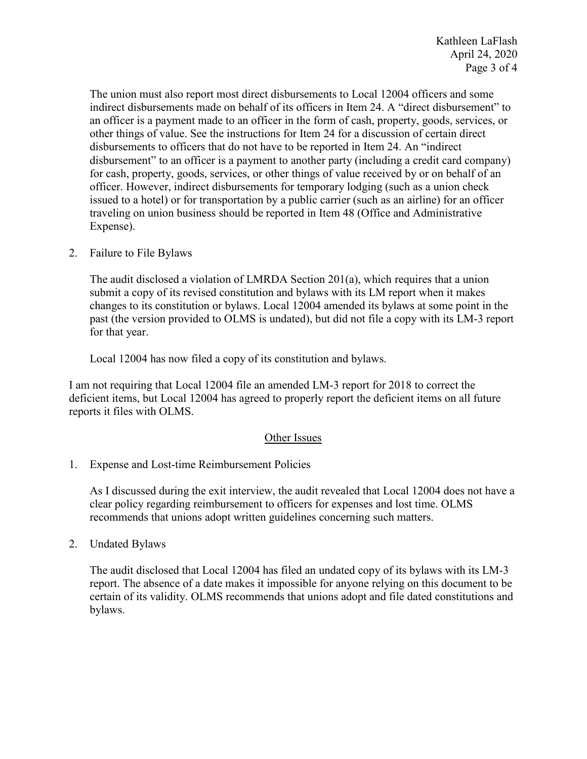The union must also report most direct disbursements to Local 12004 officers and some other things of value. See the instructions for Item 24 for a discussion of certain direct issued to a hotel) or for transportation by a public carrier (such as an airline) for an officer indirect disbursements made on behalf of its officers in Item 24. A "direct disbursement" to an officer is a payment made to an officer in the form of cash, property, goods, services, or disbursements to officers that do not have to be reported in Item 24. An "indirect disbursement" to an officer is a payment to another party (including a credit card company) for cash, property, goods, services, or other things of value received by or on behalf of an officer. However, indirect disbursements for temporary lodging (such as a union check traveling on union business should be reported in Item 48 (Office and Administrative Expense).

2. Failure to File Bylaws

 changes to its constitution or bylaws. Local 12004 amended its bylaws at some point in the past (the version provided to OLMS is undated), but did not file a copy with its LM-3 report for that year. The audit disclosed a violation of LMRDA Section 201(a), which requires that a union submit a copy of its revised constitution and bylaws with its LM report when it makes

for that year.<br>Local 12004 has now filed a copy of its constitution and bylaws.

reports it files with OLMS.<br>
<u>Other Issues</u> I am not requiring that Local 12004 file an amended LM-3 report for 2018 to correct the deficient items, but Local 12004 has agreed to properly report the deficient items on all future

1. Expense and Lost-time Reimbursement Policies

 clear policy regarding reimbursement to officers for expenses and lost time. OLMS As I discussed during the exit interview, the audit revealed that Local 12004 does not have a recommends that unions adopt written guidelines concerning such matters.

2. Undated Bylaws

 report. The absence of a date makes it impossible for anyone relying on this document to be The audit disclosed that Local 12004 has filed an undated copy of its bylaws with its LM-3 certain of its validity. OLMS recommends that unions adopt and file dated constitutions and bylaws.